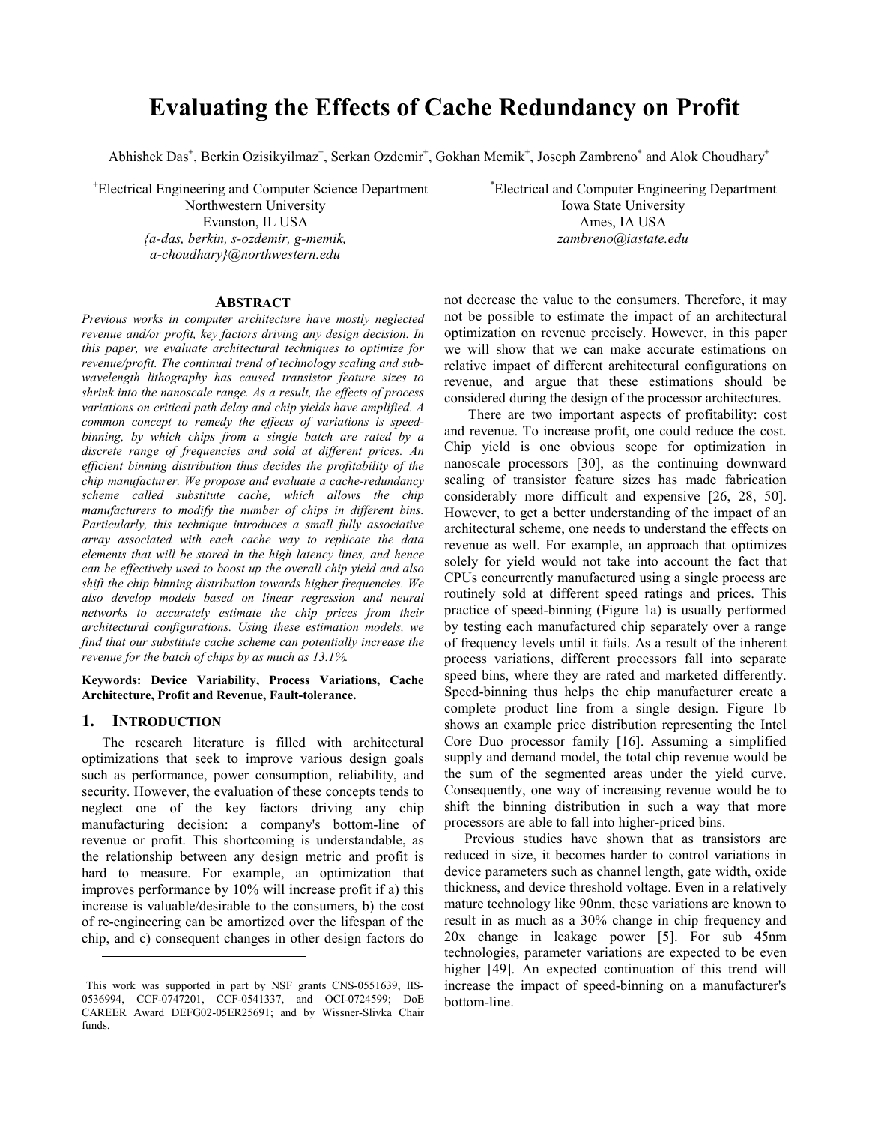# **Evaluating the Effects of Cache Redundancy on Profit**

Abhishek Das<sup>+</sup>, Berkin Ozisikyilmaz<sup>+</sup>, Serkan Ozdemir<sup>+</sup>, Gokhan Memik<sup>+</sup>, Joseph Zambreno<sup>\*</sup> and Alok Choudhary<sup>+</sup>

<sup>+</sup>Electrical Engineering and Computer Science Department Northwestern University Evanston, IL USA *{a-das, berkin, s-ozdemir, g-memik, a-choudhary}@northwestern.edu* 

\*Electrical and Computer Engineering Department Iowa State University Ames, IA USA *zambreno@iastate.edu* 

## **ABSTRACT**

*Previous works in computer architecture have mostly neglected revenue and/or profit, key factors driving any design decision. In this paper, we evaluate architectural techniques to optimize for revenue/profit. The continual trend of technology scaling and subwavelength lithography has caused transistor feature sizes to shrink into the nanoscale range. As a result, the effects of process variations on critical path delay and chip yields have amplified. A common concept to remedy the effects of variations is speedbinning, by which chips from a single batch are rated by a discrete range of frequencies and sold at different prices. An efficient binning distribution thus decides the profitability of the chip manufacturer. We propose and evaluate a cache-redundancy scheme called substitute cache, which allows the chip manufacturers to modify the number of chips in different bins. Particularly, this technique introduces a small fully associative array associated with each cache way to replicate the data elements that will be stored in the high latency lines, and hence can be effectively used to boost up the overall chip yield and also shift the chip binning distribution towards higher frequencies. We also develop models based on linear regression and neural networks to accurately estimate the chip prices from their architectural configurations. Using these estimation models, we find that our substitute cache scheme can potentially increase the revenue for the batch of chips by as much as 13.1%.\**

**Keywords: Device Variability, Process Variations, Cache Architecture, Profit and Revenue, Fault-tolerance.** 

#### 1. **INTRODUCTION**

 $\overline{a}$ 

The research literature is filled with architectural optimizations that seek to improve various design goals such as performance, power consumption, reliability, and security. However, the evaluation of these concepts tends to neglect one of the key factors driving any chip manufacturing decision: a company's bottom-line of revenue or profit. This shortcoming is understandable, as the relationship between any design metric and profit is hard to measure. For example, an optimization that improves performance by 10% will increase profit if a) this increase is valuable/desirable to the consumers, b) the cost of re-engineering can be amortized over the lifespan of the chip, and c) consequent changes in other design factors do not decrease the value to the consumers. Therefore, it may not be possible to estimate the impact of an architectural optimization on revenue precisely. However, in this paper we will show that we can make accurate estimations on relative impact of different architectural configurations on revenue, and argue that these estimations should be considered during the design of the processor architectures.

 There are two important aspects of profitability: cost and revenue. To increase profit, one could reduce the cost. Chip yield is one obvious scope for optimization in nanoscale processors [30], as the continuing downward scaling of transistor feature sizes has made fabrication considerably more difficult and expensive [26, 28, 50]. However, to get a better understanding of the impact of an architectural scheme, one needs to understand the effects on revenue as well. For example, an approach that optimizes solely for yield would not take into account the fact that CPUs concurrently manufactured using a single process are routinely sold at different speed ratings and prices. This practice of speed-binning (Figure 1a) is usually performed by testing each manufactured chip separately over a range of frequency levels until it fails. As a result of the inherent process variations, different processors fall into separate speed bins, where they are rated and marketed differently. Speed-binning thus helps the chip manufacturer create a complete product line from a single design. Figure 1b shows an example price distribution representing the Intel Core Duo processor family [16]. Assuming a simplified supply and demand model, the total chip revenue would be the sum of the segmented areas under the yield curve. Consequently, one way of increasing revenue would be to shift the binning distribution in such a way that more processors are able to fall into higher-priced bins.

Previous studies have shown that as transistors are reduced in size, it becomes harder to control variations in device parameters such as channel length, gate width, oxide thickness, and device threshold voltage. Even in a relatively mature technology like 90nm, these variations are known to result in as much as a 30% change in chip frequency and 20x change in leakage power [5]. For sub 45nm technologies, parameter variations are expected to be even higher [49]. An expected continuation of this trend will increase the impact of speed-binning on a manufacturer's bottom-line.

This work was supported in part by NSF grants CNS-0551639, IIS-0536994, CCF-0747201, CCF-0541337, and OCI-0724599; DoE CAREER Award DEFG02-05ER25691; and by Wissner-Slivka Chair funds.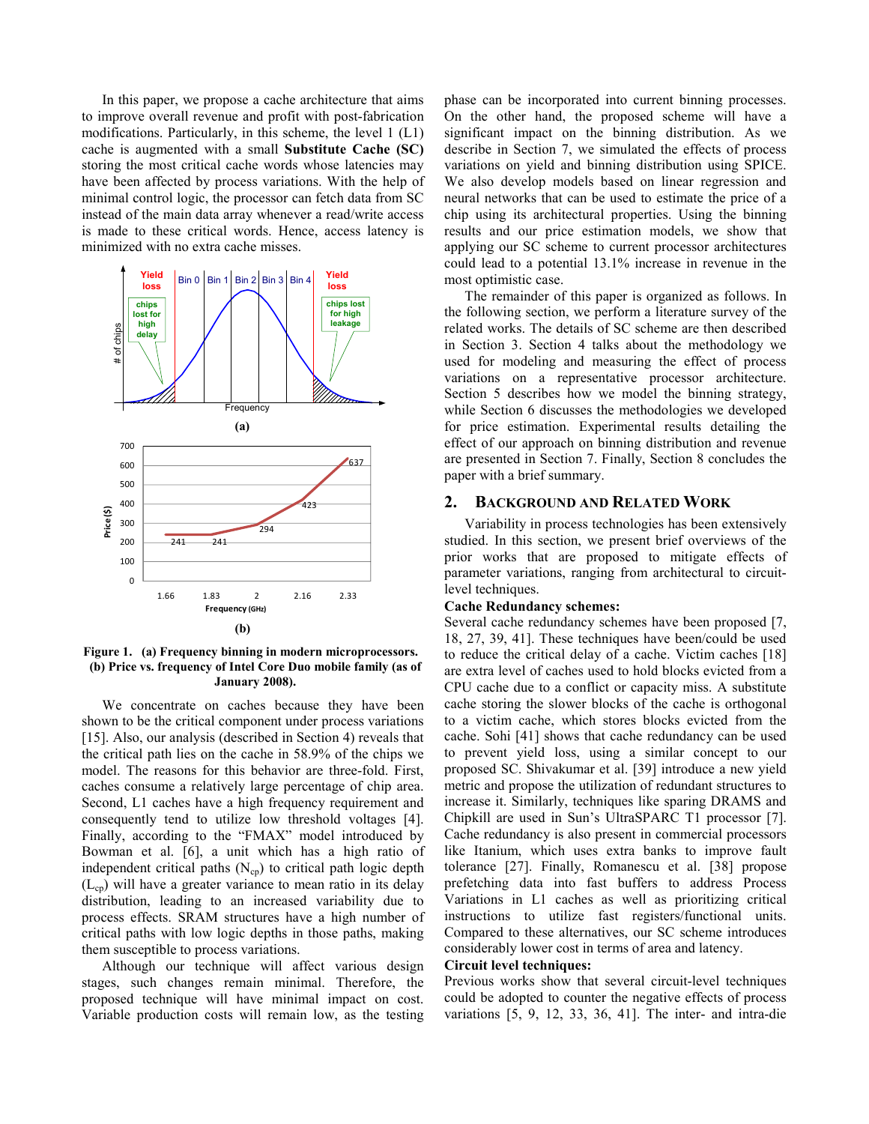In this paper, we propose a cache architecture that aims to improve overall revenue and profit with post-fabrication modifications. Particularly, in this scheme, the level 1 (L1) cache is augmented with a small **Substitute Cache (SC)** storing the most critical cache words whose latencies may have been affected by process variations. With the help of minimal control logic, the processor can fetch data from SC instead of the main data array whenever a read/write access is made to these critical words. Hence, access latency is minimized with no extra cache misses.



**Figure 1. (a) Frequency binning in modern microprocessors. (b) Price vs. frequency of Intel Core Duo mobile family (as of January 2008).** 

We concentrate on caches because they have been shown to be the critical component under process variations [15]. Also, our analysis (described in Section 4) reveals that the critical path lies on the cache in 58.9% of the chips we model. The reasons for this behavior are three-fold. First, caches consume a relatively large percentage of chip area. Second, L1 caches have a high frequency requirement and consequently tend to utilize low threshold voltages [4]. Finally, according to the "FMAX" model introduced by Bowman et al. [6], a unit which has a high ratio of independent critical paths  $(N_{\rm cp})$  to critical path logic depth  $(L_{\rm cn})$  will have a greater variance to mean ratio in its delay distribution, leading to an increased variability due to process effects. SRAM structures have a high number of critical paths with low logic depths in those paths, making them susceptible to process variations.

Although our technique will affect various design stages, such changes remain minimal. Therefore, the proposed technique will have minimal impact on cost. Variable production costs will remain low, as the testing

phase can be incorporated into current binning processes. On the other hand, the proposed scheme will have a significant impact on the binning distribution. As we describe in Section 7, we simulated the effects of process variations on yield and binning distribution using SPICE. We also develop models based on linear regression and neural networks that can be used to estimate the price of a chip using its architectural properties. Using the binning results and our price estimation models, we show that applying our SC scheme to current processor architectures could lead to a potential 13.1% increase in revenue in the most optimistic case.

The remainder of this paper is organized as follows. In the following section, we perform a literature survey of the related works. The details of SC scheme are then described in Section 3. Section 4 talks about the methodology we used for modeling and measuring the effect of process variations on a representative processor architecture. Section 5 describes how we model the binning strategy, while Section 6 discusses the methodologies we developed for price estimation. Experimental results detailing the effect of our approach on binning distribution and revenue are presented in Section 7. Finally, Section 8 concludes the paper with a brief summary.

# **2. BACKGROU'D A'D RELATED WORK**

Variability in process technologies has been extensively studied. In this section, we present brief overviews of the prior works that are proposed to mitigate effects of parameter variations, ranging from architectural to circuitlevel techniques.

## **Cache Redundancy schemes:**

Several cache redundancy schemes have been proposed [7, 18, 27, 39, 41]. These techniques have been/could be used to reduce the critical delay of a cache. Victim caches [18] are extra level of caches used to hold blocks evicted from a CPU cache due to a conflict or capacity miss. A substitute cache storing the slower blocks of the cache is orthogonal to a victim cache, which stores blocks evicted from the cache. Sohi [41] shows that cache redundancy can be used to prevent yield loss, using a similar concept to our proposed SC. Shivakumar et al. [39] introduce a new yield metric and propose the utilization of redundant structures to increase it. Similarly, techniques like sparing DRAMS and Chipkill are used in Sun's UltraSPARC T1 processor [7]. Cache redundancy is also present in commercial processors like Itanium, which uses extra banks to improve fault tolerance [27]. Finally, Romanescu et al. [38] propose prefetching data into fast buffers to address Process Variations in L1 caches as well as prioritizing critical instructions to utilize fast registers/functional units. Compared to these alternatives, our SC scheme introduces considerably lower cost in terms of area and latency.

#### **Circuit level techniques:**

Previous works show that several circuit-level techniques could be adopted to counter the negative effects of process variations [5, 9, 12, 33, 36, 41]. The inter- and intra-die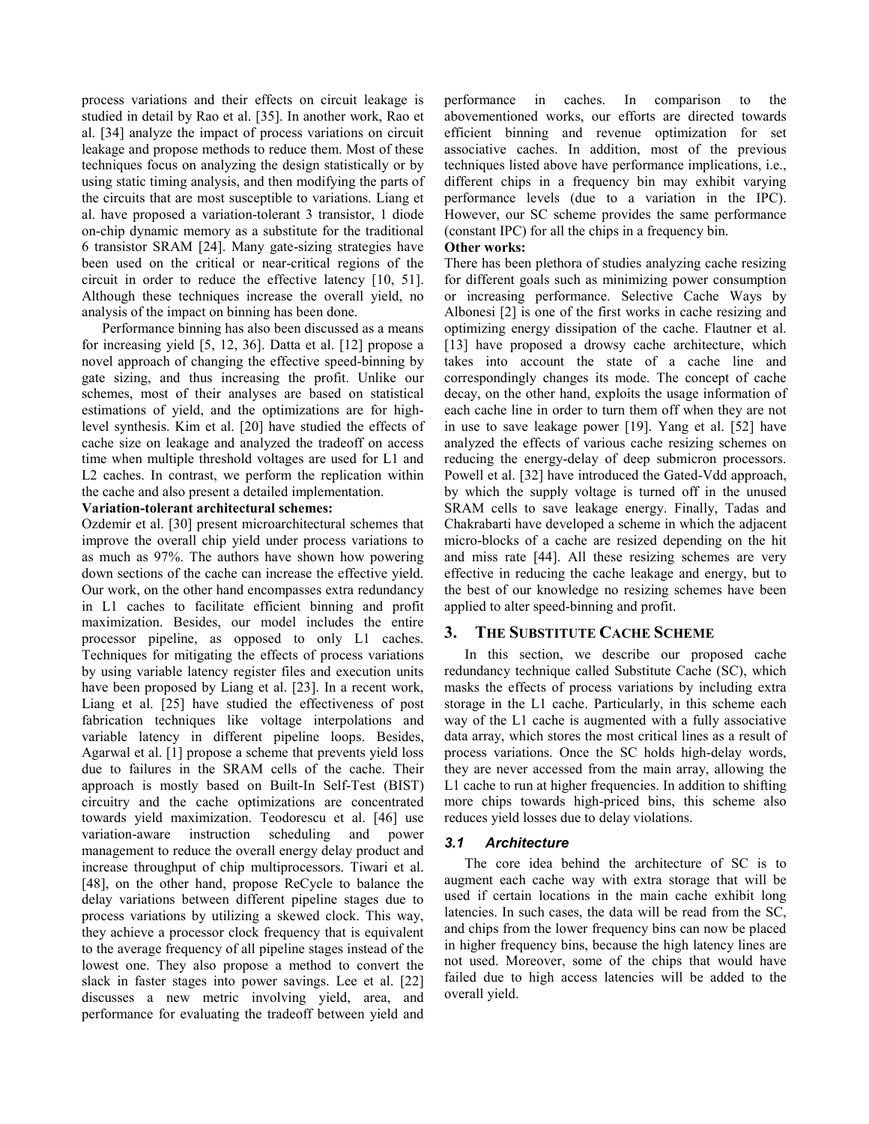process variations and their effects on circuit leakage is studied in detail by Rao et al. [35]. In another work, Rao et al. [34] analyze the impact of process variations on circuit leakage and propose methods to reduce them. Most of these techniques focus on analyzing the design statistically or by using static timing analysis, and then modifying the parts of the circuits that are most susceptible to variations. Liang et al. have proposed a variation-tolerant 3 transistor, 1 diode on-chip dynamic memory as a substitute for the traditional 6 transistor SRAM [24]. Many gate-sizing strategies have been used on the critical or near-critical regions of the circuit in order to reduce the effective latency [10, 51]. Although these techniques increase the overall yield, no analysis of the impact on binning has been done.

Performance binning has also been discussed as a means for increasing yield [5, 12, 36]. Datta et al. [12] propose a novel approach of changing the effective speed-binning by gate sizing, and thus increasing the profit. Unlike our schemes, most of their analyses are based on statistical estimations of yield, and the optimizations are for highlevel synthesis. Kim et al. [20] have studied the effects of cache size on leakage and analyzed the tradeoff on access time when multiple threshold voltages are used for L1 and L2 caches. In contrast, we perform the replication within the cache and also present a detailed implementation.

# **Variation-tolerant architectural schemes:**

Ozdemir et al. [30] present microarchitectural schemes that improve the overall chip yield under process variations to as much as 97%. The authors have shown how powering down sections of the cache can increase the effective yield. Our work, on the other hand encompasses extra redundancy in L1 caches to facilitate efficient binning and profit maximization. Besides, our model includes the entire processor pipeline, as opposed to only L1 caches. Techniques for mitigating the effects of process variations by using variable latency register files and execution units have been proposed by Liang et al. [23]. In a recent work, Liang et al. [25] have studied the effectiveness of post fabrication techniques like voltage interpolations and variable latency in different pipeline loops. Besides, Agarwal et al. [1] propose a scheme that prevents yield loss due to failures in the SRAM cells of the cache. Their approach is mostly based on Built-In Self-Test (BIST) circuitry and the cache optimizations are concentrated towards yield maximization. Teodorescu et al. [46] use variation-aware instruction scheduling and power management to reduce the overall energy delay product and increase throughput of chip multiprocessors. Tiwari et al. [48], on the other hand, propose ReCycle to balance the delay variations between different pipeline stages due to process variations by utilizing a skewed clock. This way, they achieve a processor clock frequency that is equivalent to the average frequency of all pipeline stages instead of the lowest one. They also propose a method to convert the slack in faster stages into power savings. Lee et al. [22] discusses a new metric involving yield, area, and performance for evaluating the tradeoff between yield and

performance in caches. In comparison to the abovementioned works, our efforts are directed towards efficient binning and revenue optimization for set associative caches. In addition, most of the previous techniques listed above have performance implications, i.e., different chips in a frequency bin may exhibit varying performance levels (due to a variation in the IPC). However, our SC scheme provides the same performance (constant IPC) for all the chips in a frequency bin.

# **Other works:**

There has been plethora of studies analyzing cache resizing for different goals such as minimizing power consumption or increasing performance. Selective Cache Ways by Albonesi [2] is one of the first works in cache resizing and optimizing energy dissipation of the cache. Flautner et al. [13] have proposed a drowsy cache architecture, which takes into account the state of a cache line and correspondingly changes its mode. The concept of cache decay, on the other hand, exploits the usage information of each cache line in order to turn them off when they are not in use to save leakage power [19]. Yang et al. [52] have analyzed the effects of various cache resizing schemes on reducing the energy-delay of deep submicron processors. Powell et al. [32] have introduced the Gated-Vdd approach, by which the supply voltage is turned off in the unused SRAM cells to save leakage energy. Finally, Tadas and Chakrabarti have developed a scheme in which the adjacent micro-blocks of a cache are resized depending on the hit and miss rate [44]. All these resizing schemes are very effective in reducing the cache leakage and energy, but to the best of our knowledge no resizing schemes have been applied to alter speed-binning and profit.

# **3. THE SUBSTITUTE CACHE SCHEME**

In this section, we describe our proposed cache redundancy technique called Substitute Cache (SC), which masks the effects of process variations by including extra storage in the L1 cache. Particularly, in this scheme each way of the L1 cache is augmented with a fully associative data array, which stores the most critical lines as a result of process variations. Once the SC holds high-delay words, they are never accessed from the main array, allowing the L1 cache to run at higher frequencies. In addition to shifting more chips towards high-priced bins, this scheme also reduces yield losses due to delay violations.

# *3.1 Architecture*

The core idea behind the architecture of SC is to augment each cache way with extra storage that will be used if certain locations in the main cache exhibit long latencies. In such cases, the data will be read from the SC, and chips from the lower frequency bins can now be placed in higher frequency bins, because the high latency lines are not used. Moreover, some of the chips that would have failed due to high access latencies will be added to the overall yield.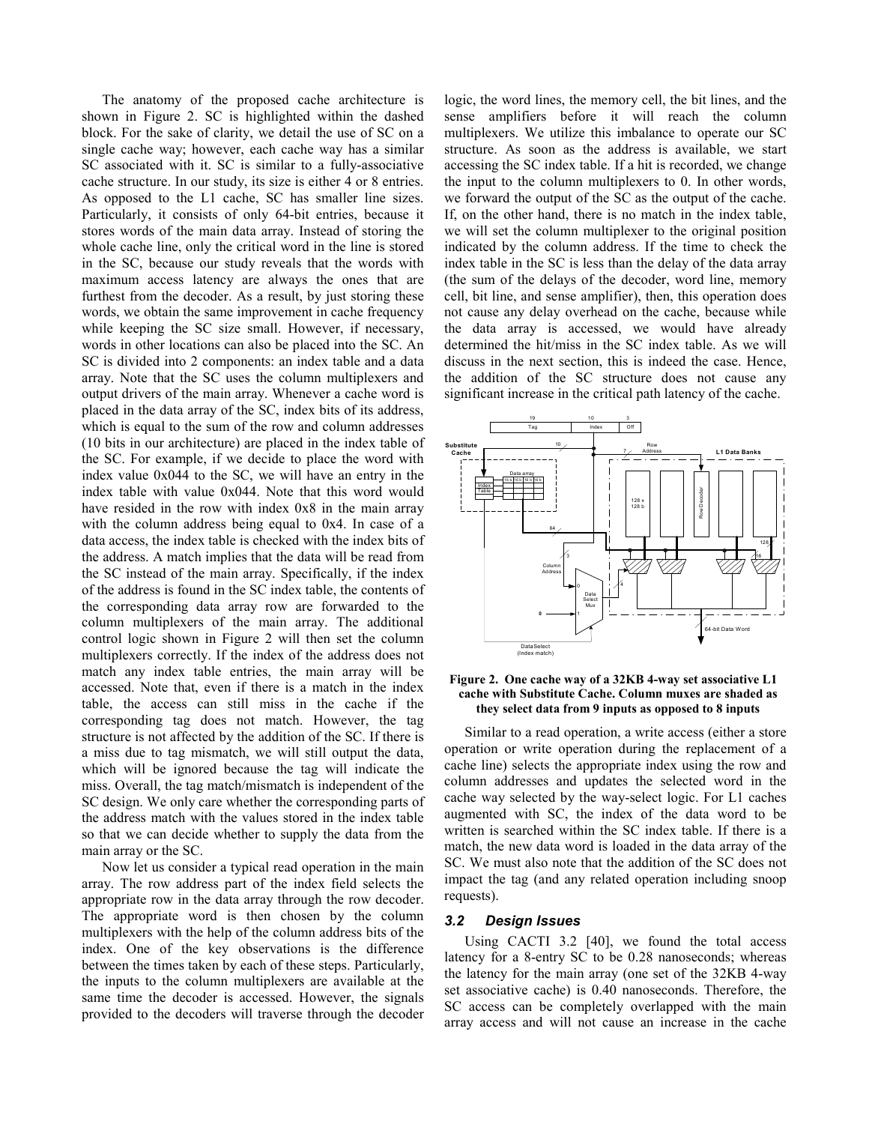The anatomy of the proposed cache architecture is shown in Figure 2. SC is highlighted within the dashed block. For the sake of clarity, we detail the use of SC on a single cache way; however, each cache way has a similar SC associated with it. SC is similar to a fully-associative cache structure. In our study, its size is either 4 or 8 entries. As opposed to the L1 cache, SC has smaller line sizes. Particularly, it consists of only 64-bit entries, because it stores words of the main data array. Instead of storing the whole cache line, only the critical word in the line is stored in the SC, because our study reveals that the words with maximum access latency are always the ones that are furthest from the decoder. As a result, by just storing these words, we obtain the same improvement in cache frequency while keeping the SC size small. However, if necessary, words in other locations can also be placed into the SC. An SC is divided into 2 components: an index table and a data array. Note that the SC uses the column multiplexers and output drivers of the main array. Whenever a cache word is placed in the data array of the SC, index bits of its address, which is equal to the sum of the row and column addresses (10 bits in our architecture) are placed in the index table of the SC. For example, if we decide to place the word with index value 0x044 to the SC, we will have an entry in the index table with value 0x044. Note that this word would have resided in the row with index 0x8 in the main array with the column address being equal to 0x4. In case of a data access, the index table is checked with the index bits of the address. A match implies that the data will be read from the SC instead of the main array. Specifically, if the index of the address is found in the SC index table, the contents of the corresponding data array row are forwarded to the column multiplexers of the main array. The additional control logic shown in Figure 2 will then set the column multiplexers correctly. If the index of the address does not match any index table entries, the main array will be accessed. Note that, even if there is a match in the index table, the access can still miss in the cache if the corresponding tag does not match. However, the tag structure is not affected by the addition of the SC. If there is a miss due to tag mismatch, we will still output the data, which will be ignored because the tag will indicate the miss. Overall, the tag match/mismatch is independent of the SC design. We only care whether the corresponding parts of the address match with the values stored in the index table so that we can decide whether to supply the data from the main array or the SC.

Now let us consider a typical read operation in the main array. The row address part of the index field selects the appropriate row in the data array through the row decoder. The appropriate word is then chosen by the column multiplexers with the help of the column address bits of the index. One of the key observations is the difference between the times taken by each of these steps. Particularly, the inputs to the column multiplexers are available at the same time the decoder is accessed. However, the signals provided to the decoders will traverse through the decoder logic, the word lines, the memory cell, the bit lines, and the sense amplifiers before it will reach the column multiplexers. We utilize this imbalance to operate our SC structure. As soon as the address is available, we start accessing the SC index table. If a hit is recorded, we change the input to the column multiplexers to 0. In other words, we forward the output of the SC as the output of the cache. If, on the other hand, there is no match in the index table, we will set the column multiplexer to the original position indicated by the column address. If the time to check the index table in the SC is less than the delay of the data array (the sum of the delays of the decoder, word line, memory cell, bit line, and sense amplifier), then, this operation does not cause any delay overhead on the cache, because while the data array is accessed, we would have already determined the hit/miss in the SC index table. As we will discuss in the next section, this is indeed the case. Hence, the addition of the SC structure does not cause any significant increase in the critical path latency of the cache.





Similar to a read operation, a write access (either a store operation or write operation during the replacement of a cache line) selects the appropriate index using the row and column addresses and updates the selected word in the cache way selected by the way-select logic. For L1 caches augmented with SC, the index of the data word to be written is searched within the SC index table. If there is a match, the new data word is loaded in the data array of the SC. We must also note that the addition of the SC does not impact the tag (and any related operation including snoop requests).

#### *3.2 Design Issues*

Using CACTI 3.2 [40], we found the total access latency for a 8-entry SC to be 0.28 nanoseconds; whereas the latency for the main array (one set of the 32KB 4-way set associative cache) is 0.40 nanoseconds. Therefore, the SC access can be completely overlapped with the main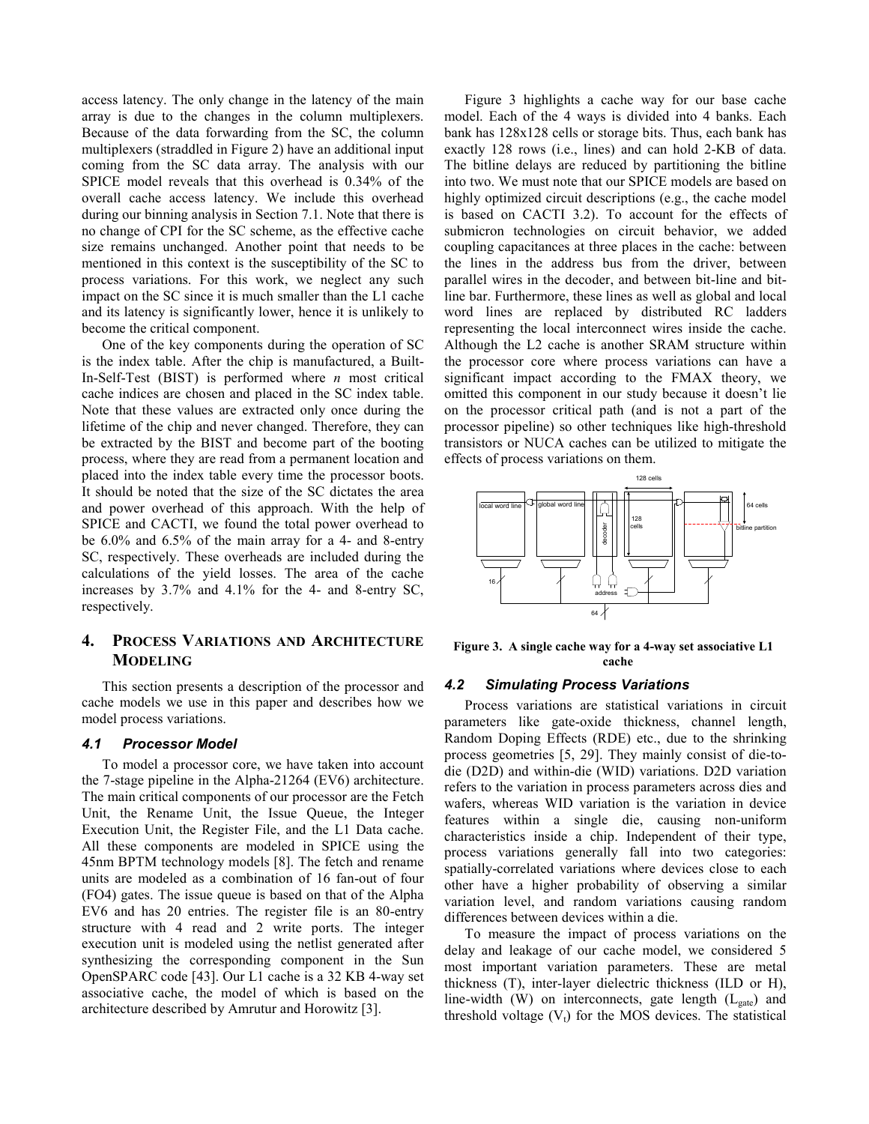access latency. The only change in the latency of the main array is due to the changes in the column multiplexers. Because of the data forwarding from the SC, the column multiplexers (straddled in Figure 2) have an additional input coming from the SC data array. The analysis with our SPICE model reveals that this overhead is 0.34% of the overall cache access latency. We include this overhead during our binning analysis in Section 7.1. Note that there is no change of CPI for the SC scheme, as the effective cache size remains unchanged. Another point that needs to be mentioned in this context is the susceptibility of the SC to process variations. For this work, we neglect any such impact on the SC since it is much smaller than the L1 cache and its latency is significantly lower, hence it is unlikely to become the critical component.

One of the key components during the operation of SC is the index table. After the chip is manufactured, a Built-In-Self-Test (BIST) is performed where *n* most critical cache indices are chosen and placed in the SC index table. Note that these values are extracted only once during the lifetime of the chip and never changed. Therefore, they can be extracted by the BIST and become part of the booting process, where they are read from a permanent location and placed into the index table every time the processor boots. It should be noted that the size of the SC dictates the area and power overhead of this approach. With the help of SPICE and CACTI, we found the total power overhead to be 6.0% and 6.5% of the main array for a 4- and 8-entry SC, respectively. These overheads are included during the calculations of the yield losses. The area of the cache increases by 3.7% and 4.1% for the 4- and 8-entry SC, respectively.

# **4. PROCESS VARIATIO'S A'D ARCHITECTURE MODELING**

This section presents a description of the processor and cache models we use in this paper and describes how we model process variations.

#### *4.1 Processor Model*

To model a processor core, we have taken into account the 7-stage pipeline in the Alpha-21264 (EV6) architecture. The main critical components of our processor are the Fetch Unit, the Rename Unit, the Issue Queue, the Integer Execution Unit, the Register File, and the L1 Data cache. All these components are modeled in SPICE using the 45nm BPTM technology models [8]. The fetch and rename units are modeled as a combination of 16 fan-out of four (FO4) gates. The issue queue is based on that of the Alpha EV6 and has 20 entries. The register file is an 80-entry structure with 4 read and 2 write ports. The integer execution unit is modeled using the netlist generated after synthesizing the corresponding component in the Sun OpenSPARC code [43]. Our L1 cache is a 32 KB 4-way set associative cache, the model of which is based on the architecture described by Amrutur and Horowitz [3].

Figure 3 highlights a cache way for our base cache model. Each of the 4 ways is divided into 4 banks. Each bank has 128x128 cells or storage bits. Thus, each bank has exactly 128 rows (i.e., lines) and can hold 2-KB of data. The bitline delays are reduced by partitioning the bitline into two. We must note that our SPICE models are based on highly optimized circuit descriptions (e.g., the cache model is based on CACTI 3.2). To account for the effects of submicron technologies on circuit behavior, we added coupling capacitances at three places in the cache: between the lines in the address bus from the driver, between parallel wires in the decoder, and between bit-line and bitline bar. Furthermore, these lines as well as global and local word lines are replaced by distributed RC ladders representing the local interconnect wires inside the cache. Although the L2 cache is another SRAM structure within the processor core where process variations can have a significant impact according to the FMAX theory, we omitted this component in our study because it doesn't lie on the processor critical path (and is not a part of the processor pipeline) so other techniques like high-threshold transistors or NUCA caches can be utilized to mitigate the effects of process variations on them.



**Figure 3. A single cache way for a 4-way set associative L1 cache** 

#### *4.2 Simulating Process Variations*

Process variations are statistical variations in circuit parameters like gate-oxide thickness, channel length, Random Doping Effects (RDE) etc., due to the shrinking process geometries [5, 29]. They mainly consist of die-todie (D2D) and within-die (WID) variations. D2D variation refers to the variation in process parameters across dies and wafers, whereas WID variation is the variation in device features within a single die, causing non-uniform characteristics inside a chip. Independent of their type, process variations generally fall into two categories: spatially-correlated variations where devices close to each other have a higher probability of observing a similar variation level, and random variations causing random differences between devices within a die. **Example 1.1 Example 1.1 Example 1.1 Example 1.1 Example 1.1 Example 1.1 Example 1.1 Example 1.1 Example 1.1 Example 1.1 Example 1.1 Example 1.1 Process variations** are statistical variations in ci

To measure the impact of process variations on the delay and leakage of our cache model, we considered 5 most important variation parameters. These are metal thickness (T), inter-layer dielectric thickness (ILD or H), line-width (W) on interconnects, gate length ( $L_{gate}$ ) and threshold voltage (V<sub>t</sub>) for the MOS devices. The statistical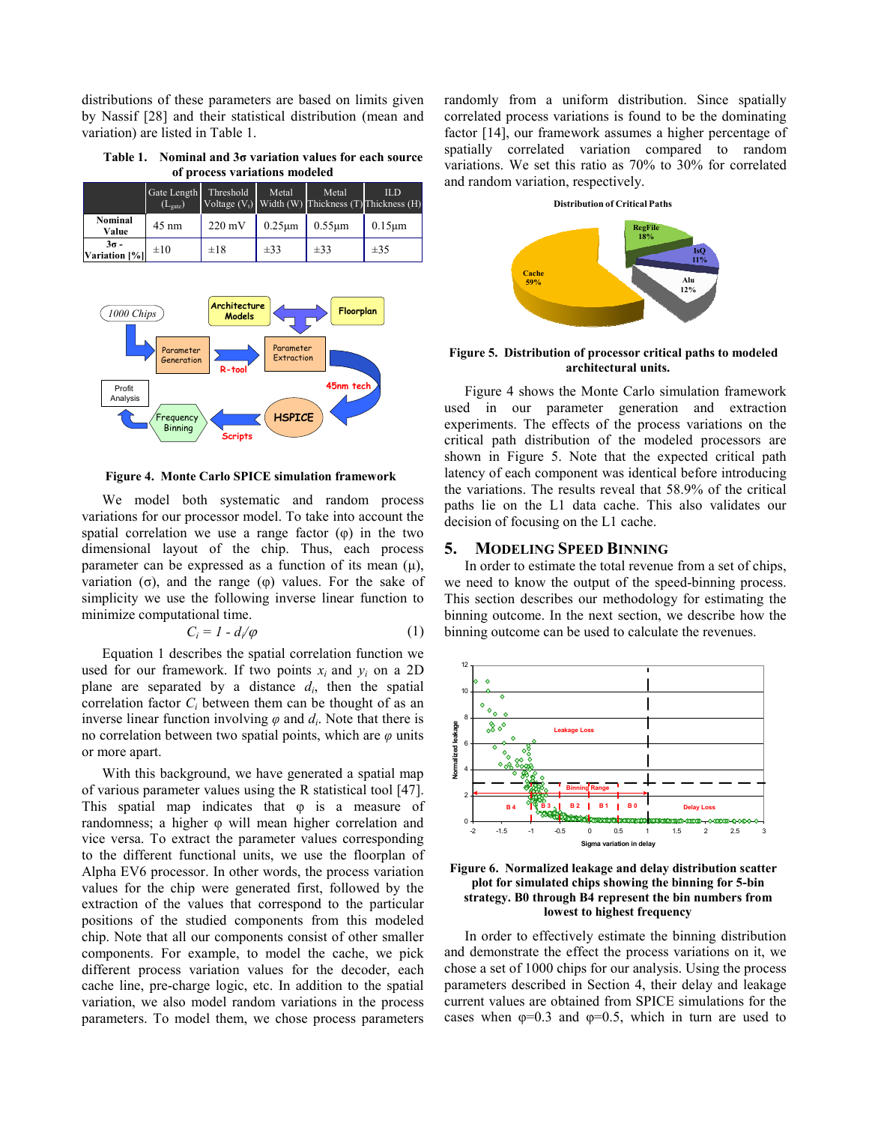distributions of these parameters are based on limits given by Nassif [28] and their statistical distribution (mean and variation) are listed in Table 1.

**Table 1. 'ominal and 3σ variation values for each source of process variations modeled** 

|                              | Gate Length<br>$(L_{\text{gate}})$ | Threshold        | Metal        | Metal        | IL D<br>Voltage $(Vt)$ Width (W) Thickness (T) Thickness (H) |
|------------------------------|------------------------------------|------------------|--------------|--------------|--------------------------------------------------------------|
| <b>Nominal</b><br>Value      | $45 \text{ nm}$                    | $220 \text{ mV}$ | $0.25 \mu m$ | $0.55 \mu m$ | $0.15 \mu m$                                                 |
| $3\sigma -$<br>Variation [%] | $\pm 10$                           | $\pm 18$         | $\pm$ 33     | $\pm$ 33     | $\pm 35$                                                     |



**Figure 4. Monte Carlo SPICE simulation framework** 

We model both systematic and random process variations for our processor model. To take into account the spatial correlation we use a range factor  $(\varphi)$  in the two dimensional layout of the chip. Thus, each process parameter can be expressed as a function of its mean (µ), variation (σ), and the range (φ) values. For the sake of simplicity we use the following inverse linear function to minimize computational time.

$$
C_i = 1 - d_i/\varphi \tag{1}
$$

Equation 1 describes the spatial correlation function we used for our framework. If two points  $x_i$  and  $y_i$  on a 2D plane are separated by a distance  $d_i$ , then the spatial correlation factor  $C_i$  between them can be thought of as an inverse linear function involving  $\varphi$  and  $d_i$ . Note that there is no correlation between two spatial points, which are *φ* units or more apart.

With this background, we have generated a spatial map of various parameter values using the R statistical tool [47]. This spatial map indicates that  $\varphi$  is a measure of randomness; a higher φ will mean higher correlation and vice versa. To extract the parameter values corresponding to the different functional units, we use the floorplan of Alpha EV6 processor. In other words, the process variation values for the chip were generated first, followed by the extraction of the values that correspond to the particular positions of the studied components from this modeled chip. Note that all our components consist of other smaller components. For example, to model the cache, we pick different process variation values for the decoder, each cache line, pre-charge logic, etc. In addition to the spatial variation, we also model random variations in the process parameters. To model them, we chose process parameters

randomly from a uniform distribution. Since spatially correlated process variations is found to be the dominating factor [14], our framework assumes a higher percentage of spatially correlated variation compared to random variations. We set this ratio as 70% to 30% for correlated and random variation, respectively.

# **Distribution of Critical Paths**



**Figure 5. Distribution of processor critical paths to modeled architectural units.** 

Figure 4 shows the Monte Carlo simulation framework used in our parameter generation and extraction experiments. The effects of the process variations on the critical path distribution of the modeled processors are shown in Figure 5. Note that the expected critical path latency of each component was identical before introducing the variations. The results reveal that 58.9% of the critical paths lie on the L1 data cache. This also validates our decision of focusing on the L1 cache.

## **5. MODELING SPEED BINNING**

In order to estimate the total revenue from a set of chips, we need to know the output of the speed-binning process. This section describes our methodology for estimating the binning outcome. In the next section, we describe how the binning outcome can be used to calculate the revenues.



**Figure 6. 'ormalized leakage and delay distribution scatter plot for simulated chips showing the binning for 5-bin strategy. B0 through B4 represent the bin numbers from lowest to highest frequency** 

In order to effectively estimate the binning distribution and demonstrate the effect the process variations on it, we chose a set of 1000 chips for our analysis. Using the process parameters described in Section 4, their delay and leakage current values are obtained from SPICE simulations for the cases when  $\varphi=0.3$  and  $\varphi=0.5$ , which in turn are used to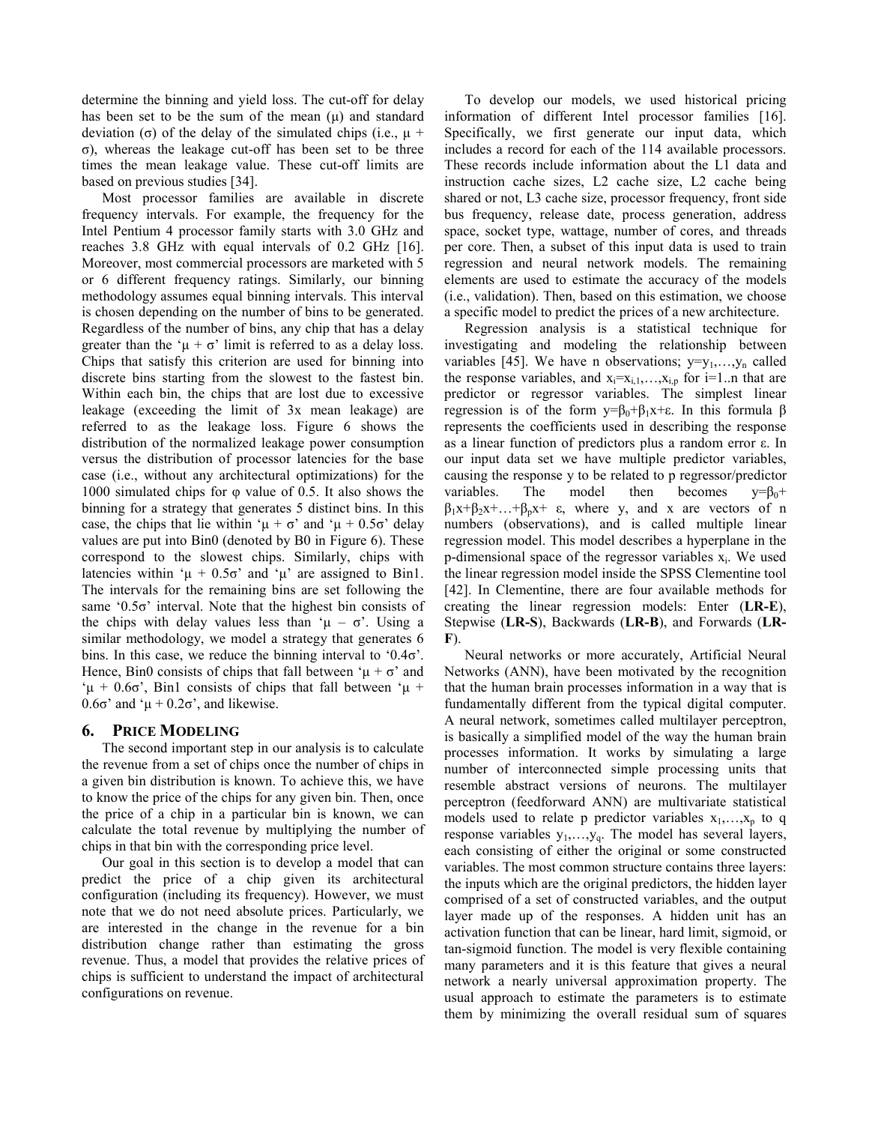determine the binning and yield loss. The cut-off for delay has been set to be the sum of the mean  $(\mu)$  and standard deviation (σ) of the delay of the simulated chips (i.e.,  $\mu$  + σ), whereas the leakage cut-off has been set to be three times the mean leakage value. These cut-off limits are based on previous studies [34].

Most processor families are available in discrete frequency intervals. For example, the frequency for the Intel Pentium 4 processor family starts with 3.0 GHz and reaches 3.8 GHz with equal intervals of 0.2 GHz [16]. Moreover, most commercial processors are marketed with 5 or 6 different frequency ratings. Similarly, our binning methodology assumes equal binning intervals. This interval is chosen depending on the number of bins to be generated. Regardless of the number of bins, any chip that has a delay greater than the ' $\mu + \sigma$ ' limit is referred to as a delay loss. Chips that satisfy this criterion are used for binning into discrete bins starting from the slowest to the fastest bin. Within each bin, the chips that are lost due to excessive leakage (exceeding the limit of 3x mean leakage) are referred to as the leakage loss. Figure 6 shows the distribution of the normalized leakage power consumption versus the distribution of processor latencies for the base case (i.e., without any architectural optimizations) for the 1000 simulated chips for φ value of 0.5. It also shows the binning for a strategy that generates 5 distinct bins. In this case, the chips that lie within ' $\mu + \sigma$ ' and ' $\mu + 0.5\sigma$ ' delay values are put into Bin0 (denoted by B0 in Figure 6). These correspond to the slowest chips. Similarly, chips with latencies within ' $\mu$  + 0.5 $\sigma$ ' and ' $\mu$ ' are assigned to Bin1. The intervals for the remaining bins are set following the same '0.5σ' interval. Note that the highest bin consists of the chips with delay values less than ' $\mu - \sigma$ '. Using a similar methodology, we model a strategy that generates 6 bins. In this case, we reduce the binning interval to '0.4σ'. Hence, Bin0 consists of chips that fall between ' $\mu + \sigma$ ' and ' $\mu$  + 0.6 $\sigma$ ', Bin1 consists of chips that fall between ' $\mu$  + 0.6 $\sigma$ ' and ' $\mu$  + 0.2 $\sigma$ ', and likewise.

# **6. PRICE MODELI'G**

The second important step in our analysis is to calculate the revenue from a set of chips once the number of chips in a given bin distribution is known. To achieve this, we have to know the price of the chips for any given bin. Then, once the price of a chip in a particular bin is known, we can calculate the total revenue by multiplying the number of chips in that bin with the corresponding price level.

Our goal in this section is to develop a model that can predict the price of a chip given its architectural configuration (including its frequency). However, we must note that we do not need absolute prices. Particularly, we are interested in the change in the revenue for a bin distribution change rather than estimating the gross revenue. Thus, a model that provides the relative prices of chips is sufficient to understand the impact of architectural configurations on revenue.

To develop our models, we used historical pricing information of different Intel processor families [16]. Specifically, we first generate our input data, which includes a record for each of the 114 available processors. These records include information about the L1 data and instruction cache sizes, L2 cache size, L2 cache being shared or not, L3 cache size, processor frequency, front side bus frequency, release date, process generation, address space, socket type, wattage, number of cores, and threads per core. Then, a subset of this input data is used to train regression and neural network models. The remaining elements are used to estimate the accuracy of the models (i.e., validation). Then, based on this estimation, we choose a specific model to predict the prices of a new architecture.

Regression analysis is a statistical technique for investigating and modeling the relationship between variables [45]. We have n observations;  $y=y_1,...,y_n$  called the response variables, and  $x_i=x_{i,1},...,x_{i,p}$  for  $i=1..n$  that are predictor or regressor variables. The simplest linear regression is of the form  $y = \beta_0 + \beta_1 x + \epsilon$ . In this formula β represents the coefficients used in describing the response as a linear function of predictors plus a random error ε. In our input data set we have multiple predictor variables, causing the response y to be related to p regressor/predictor variables. The model then becomes  $y=β_0+$  $\beta_1x+\beta_2x+\ldots+\beta_px+\epsilon$ , where y, and x are vectors of n numbers (observations), and is called multiple linear regression model. This model describes a hyperplane in the p-dimensional space of the regressor variables  $x_i$ . We used the linear regression model inside the SPSS Clementine tool [42]. In Clementine, there are four available methods for creating the linear regression models: Enter (**LR-E**), Stepwise (**LR-S**), Backwards (**LR-B**), and Forwards (**LR-F**).

Neural networks or more accurately, Artificial Neural Networks (ANN), have been motivated by the recognition that the human brain processes information in a way that is fundamentally different from the typical digital computer. A neural network, sometimes called multilayer perceptron, is basically a simplified model of the way the human brain processes information. It works by simulating a large number of interconnected simple processing units that resemble abstract versions of neurons. The multilayer perceptron (feedforward ANN) are multivariate statistical models used to relate p predictor variables  $x_1, \ldots, x_p$  to q response variables  $y_1, \ldots, y_q$ . The model has several layers, each consisting of either the original or some constructed variables. The most common structure contains three layers: the inputs which are the original predictors, the hidden layer comprised of a set of constructed variables, and the output layer made up of the responses. A hidden unit has an activation function that can be linear, hard limit, sigmoid, or tan-sigmoid function. The model is very flexible containing many parameters and it is this feature that gives a neural network a nearly universal approximation property. The usual approach to estimate the parameters is to estimate them by minimizing the overall residual sum of squares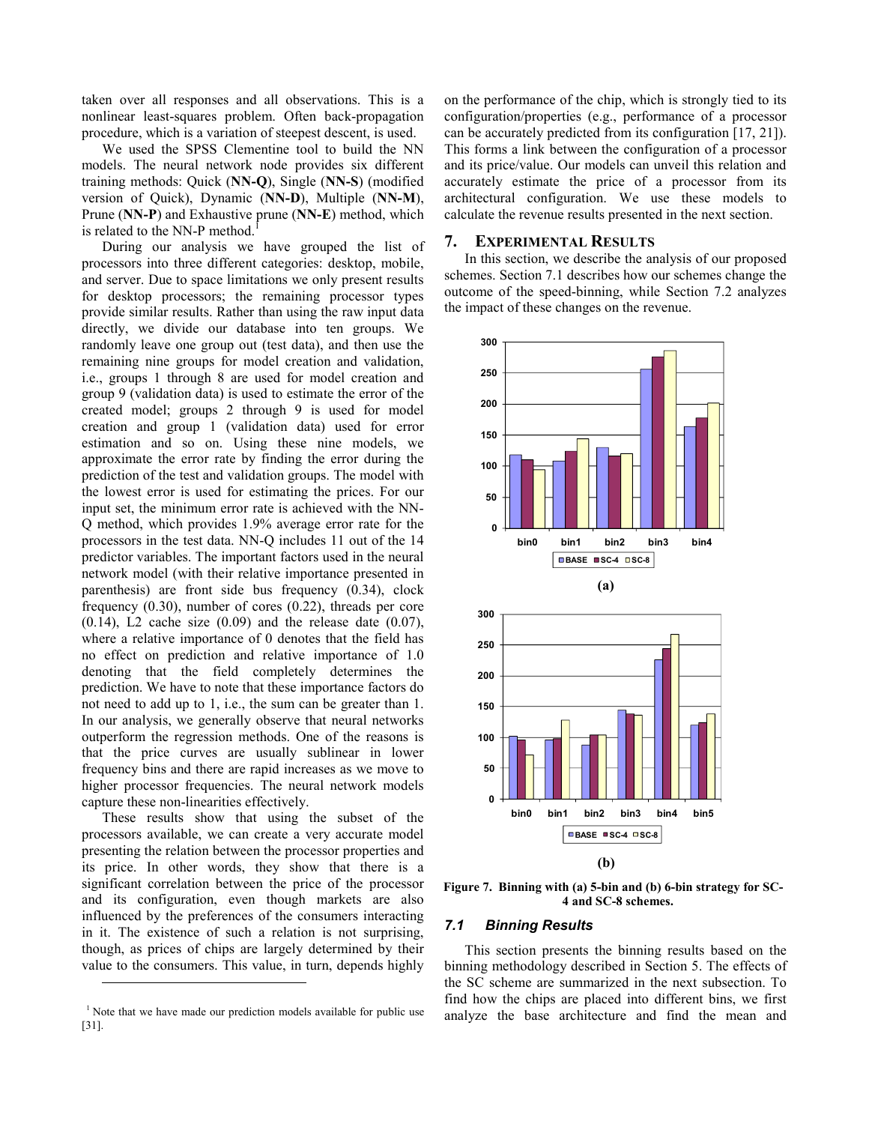taken over all responses and all observations. This is a nonlinear least-squares problem. Often back-propagation procedure, which is a variation of steepest descent, is used.

We used the SPSS Clementine tool to build the NN models. The neural network node provides six different training methods: Quick (NN-Q), Single (NN-S) (modified version of Quick), Dynamic (NN-D), Multiple (NN-M), Prune (NN-P) and Exhaustive prune (NN-E) method, which is related to the NN-P method.

During our analysis we have grouped the list of processors into three different categories: desktop, mobile, and server. Due to space limitations we only present results for desktop processors; the remaining processor types provide similar results. Rather than using the raw input data directly, we divide our database into ten groups. We randomly leave one group out (test data), and then use the remaining nine groups for model creation and validation, i.e., groups 1 through 8 are used for model creation and group 9 (validation data) is used to estimate the error of the created model; groups 2 through 9 is used for model creation and group 1 (validation data) used for error estimation and so on. Using these nine models, we approximate the error rate by finding the error during the prediction of the test and validation groups. The model with the lowest error is used for estimating the prices. For our input set, the minimum error rate is achieved with the NN-Q method, which provides 1.9% average error rate for the processors in the test data. NN-Q includes 11 out of the 14 predictor variables. The important factors used in the neural network model (with their relative importance presented in parenthesis) are front side bus frequency (0.34), clock frequency (0.30), number of cores (0.22), threads per core  $(0.14)$ , L2 cache size  $(0.09)$  and the release date  $(0.07)$ , where a relative importance of 0 denotes that the field has no effect on prediction and relative importance of 1.0 denoting that the field completely determines the prediction. We have to note that these importance factors do not need to add up to 1, i.e., the sum can be greater than 1. In our analysis, we generally observe that neural networks outperform the regression methods. One of the reasons is that the price curves are usually sublinear in lower frequency bins and there are rapid increases as we move to higher processor frequencies. The neural network models capture these non-linearities effectively.

These results show that using the subset of the processors available, we can create a very accurate model presenting the relation between the processor properties and its price. In other words, they show that there is a significant correlation between the price of the processor and its configuration, even though markets are also influenced by the preferences of the consumers interacting in it. The existence of such a relation is not surprising, though, as prices of chips are largely determined by their value to the consumers. This value, in turn, depends highly

<sup>1</sup> Note that we have made our prediction models available for public use [31].

 $\overline{a}$ 

on the performance of the chip, which is strongly tied to its configuration/properties (e.g., performance of a processor can be accurately predicted from its configuration [17, 21]). This forms a link between the configuration of a processor and its price/value. Our models can unveil this relation and accurately estimate the price of a processor from its architectural configuration. We use these models to calculate the revenue results presented in the next section.

# **7. EXPERIME'TAL RESULTS**

In this section, we describe the analysis of our proposed schemes. Section 7.1 describes how our schemes change the outcome of the speed-binning, while Section 7.2 analyzes the impact of these changes on the revenue.



**Figure 7. Binning with (a) 5-bin and (b) 6-bin strategy for SC-4 and SC-8 schemes.** 

#### *7.1 Binning Results*

This section presents the binning results based on the binning methodology described in Section 5. The effects of the SC scheme are summarized in the next subsection. To find how the chips are placed into different bins, we first analyze the base architecture and find the mean and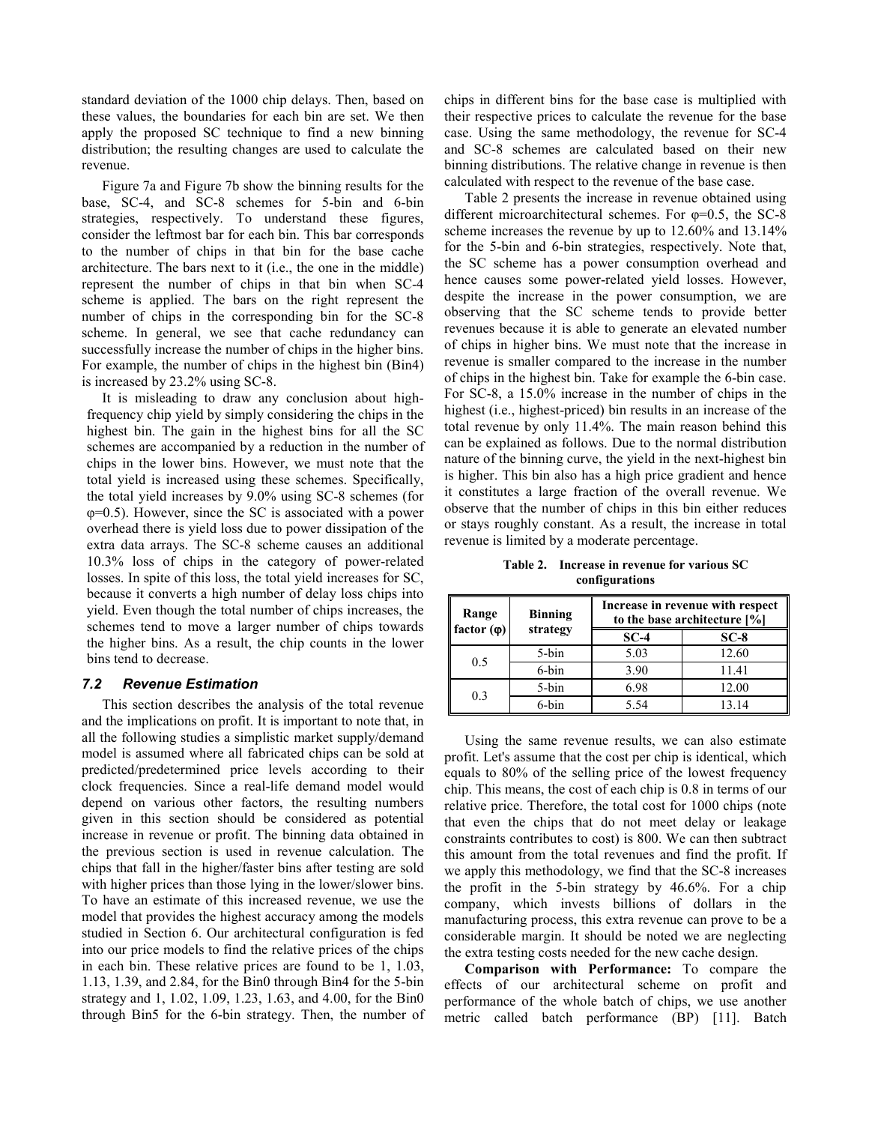standard deviation of the 1000 chip delays. Then, based on these values, the boundaries for each bin are set. We then apply the proposed SC technique to find a new binning distribution; the resulting changes are used to calculate the revenue.

Figure 7a and Figure 7b show the binning results for the base, SC-4, and SC-8 schemes for 5-bin and 6-bin strategies, respectively. To understand these figures, consider the leftmost bar for each bin. This bar corresponds to the number of chips in that bin for the base cache architecture. The bars next to it (i.e., the one in the middle) represent the number of chips in that bin when SC-4 scheme is applied. The bars on the right represent the number of chips in the corresponding bin for the SC-8 scheme. In general, we see that cache redundancy can successfully increase the number of chips in the higher bins. For example, the number of chips in the highest bin (Bin4) is increased by 23.2% using SC-8.

It is misleading to draw any conclusion about highfrequency chip yield by simply considering the chips in the highest bin. The gain in the highest bins for all the SC schemes are accompanied by a reduction in the number of chips in the lower bins. However, we must note that the total yield is increased using these schemes. Specifically, the total yield increases by 9.0% using SC-8 schemes (for φ=0.5). However, since the SC is associated with a power overhead there is yield loss due to power dissipation of the extra data arrays. The SC-8 scheme causes an additional 10.3% loss of chips in the category of power-related losses. In spite of this loss, the total yield increases for SC, because it converts a high number of delay loss chips into yield. Even though the total number of chips increases, the schemes tend to move a larger number of chips towards the higher bins. As a result, the chip counts in the lower bins tend to decrease.

# *7.2 Revenue Estimation*

This section describes the analysis of the total revenue and the implications on profit. It is important to note that, in all the following studies a simplistic market supply/demand model is assumed where all fabricated chips can be sold at predicted/predetermined price levels according to their clock frequencies. Since a real-life demand model would depend on various other factors, the resulting numbers given in this section should be considered as potential increase in revenue or profit. The binning data obtained in the previous section is used in revenue calculation. The chips that fall in the higher/faster bins after testing are sold with higher prices than those lying in the lower/slower bins. To have an estimate of this increased revenue, we use the model that provides the highest accuracy among the models studied in Section 6. Our architectural configuration is fed into our price models to find the relative prices of the chips in each bin. These relative prices are found to be 1, 1.03, 1.13, 1.39, and 2.84, for the Bin0 through Bin4 for the 5-bin strategy and 1, 1.02, 1.09, 1.23, 1.63, and 4.00, for the Bin0 through Bin5 for the 6-bin strategy. Then, the number of chips in different bins for the base case is multiplied with their respective prices to calculate the revenue for the base case. Using the same methodology, the revenue for SC-4 and SC-8 schemes are calculated based on their new binning distributions. The relative change in revenue is then calculated with respect to the revenue of the base case.

Table 2 presents the increase in revenue obtained using different microarchitectural schemes. For φ=0.5, the SC-8 scheme increases the revenue by up to 12.60% and 13.14% for the 5-bin and 6-bin strategies, respectively. Note that, the SC scheme has a power consumption overhead and hence causes some power-related yield losses. However, despite the increase in the power consumption, we are observing that the SC scheme tends to provide better revenues because it is able to generate an elevated number of chips in higher bins. We must note that the increase in revenue is smaller compared to the increase in the number of chips in the highest bin. Take for example the 6-bin case. For SC-8, a 15.0% increase in the number of chips in the highest (i.e., highest-priced) bin results in an increase of the total revenue by only 11.4%. The main reason behind this can be explained as follows. Due to the normal distribution nature of the binning curve, the yield in the next-highest bin is higher. This bin also has a high price gradient and hence it constitutes a large fraction of the overall revenue. We observe that the number of chips in this bin either reduces or stays roughly constant. As a result, the increase in total revenue is limited by a moderate percentage.

**Table 2. Increase in revenue for various SC configurations** 

| Range<br>factor $(\varphi)$ | <b>Binning</b> | Increase in revenue with respect<br>to the base architecture [%] |        |  |
|-----------------------------|----------------|------------------------------------------------------------------|--------|--|
|                             | strategy       | $SC-4$                                                           | $SC-8$ |  |
| 0.5                         | 5-bin          | 5.03                                                             | 12.60  |  |
|                             | 6-bin          | 3.90                                                             | 11.41  |  |
| 0.3                         | 5-bin          | 6.98                                                             | 12.00  |  |
|                             | 6-bin          | 5.54                                                             | 13.14  |  |

Using the same revenue results, we can also estimate profit. Let's assume that the cost per chip is identical, which equals to 80% of the selling price of the lowest frequency chip. This means, the cost of each chip is 0.8 in terms of our relative price. Therefore, the total cost for 1000 chips (note that even the chips that do not meet delay or leakage constraints contributes to cost) is 800. We can then subtract this amount from the total revenues and find the profit. If we apply this methodology, we find that the SC-8 increases the profit in the 5-bin strategy by 46.6%. For a chip company, which invests billions of dollars in the manufacturing process, this extra revenue can prove to be a considerable margin. It should be noted we are neglecting the extra testing costs needed for the new cache design.

**Comparison with Performance:** To compare the effects of our architectural scheme on profit and performance of the whole batch of chips, we use another metric called batch performance (BP) [11]. Batch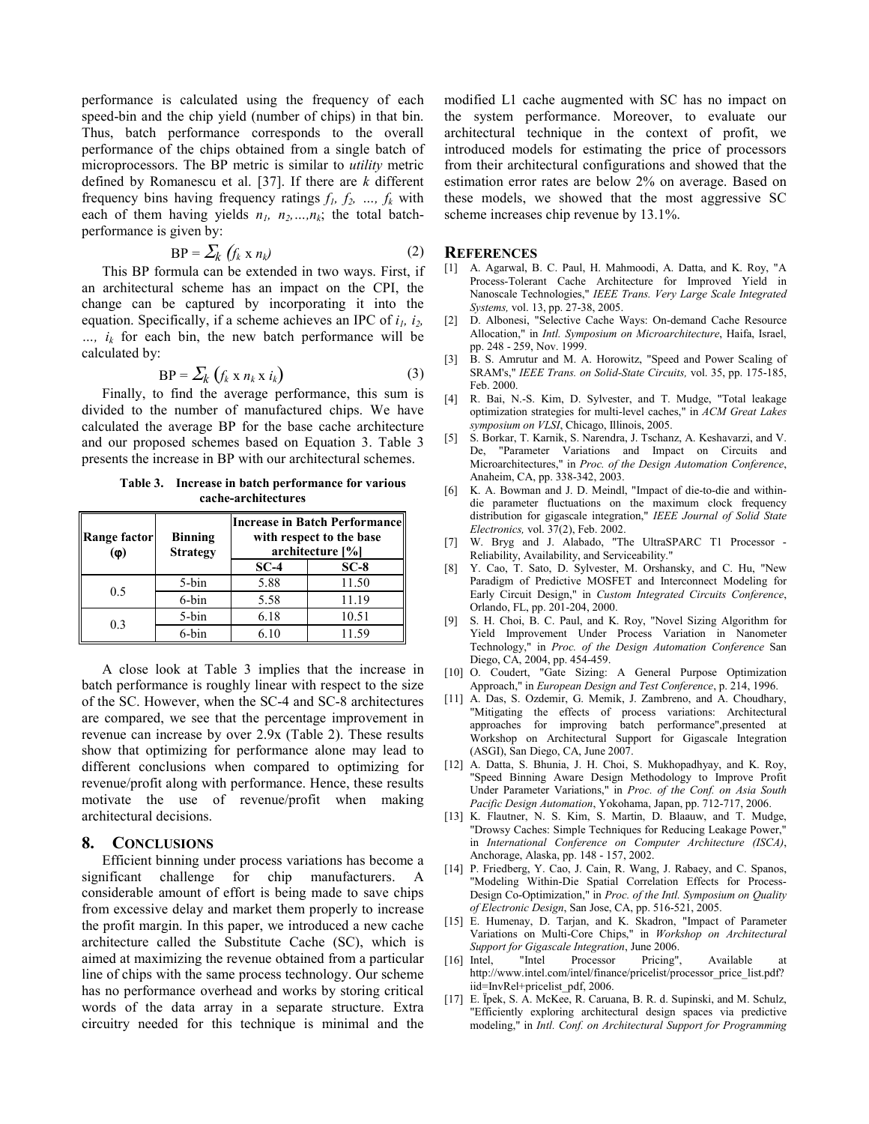performance is calculated using the frequency of each speed-bin and the chip yield (number of chips) in that bin. Thus, batch performance corresponds to the overall performance of the chips obtained from a single batch of microprocessors. The BP metric is similar to *utility* metric defined by Romanescu et al. [37]. If there are *k* different frequency bins having frequency ratings  $f_1$ ,  $f_2$ , ...,  $f_k$  with each of them having yields  $n_1$ ,  $n_2$ , ...,  $n_k$ ; the total batchperformance is given by:

$$
BP = \sum_{k} \left( f_k \times n_k \right) \tag{2}
$$

This BP formula can be extended in two ways. First, if an architectural scheme has an impact on the CPI, the change can be captured by incorporating it into the equation. Specifically, if a scheme achieves an IPC of  $i_l$ ,  $i_2$ , *…, i<sup>k</sup>* for each bin, the new batch performance will be calculated by:

$$
BP = \sum_{k} (f_k \times n_k \times i_k)
$$
 (3)

Finally, to find the average performance, this sum is divided to the number of manufactured chips. We have calculated the average BP for the base cache architecture and our proposed schemes based on Equation 3. Table 3 presents the increase in BP with our architectural schemes.

**Table 3. Increase in batch performance for various cache-architectures** 

| <b>Range factor</b><br>(Ф) | <b>Binning</b><br><b>Strategy</b> | <b>Increase in Batch Performance</b><br>with respect to the base<br>architecture [%] |        |  |
|----------------------------|-----------------------------------|--------------------------------------------------------------------------------------|--------|--|
|                            |                                   | $SC-4$                                                                               | $SC-8$ |  |
| 0.5                        | 5-bin                             | 5.88                                                                                 | 11.50  |  |
|                            | 6-bin                             | 5.58                                                                                 | 11.19  |  |
| 0.3                        | 5-bin                             | 6.18                                                                                 | 10.51  |  |
|                            | 6-bin                             | 6.10                                                                                 | 11.59  |  |

A close look at Table 3 implies that the increase in batch performance is roughly linear with respect to the size of the SC. However, when the SC-4 and SC-8 architectures are compared, we see that the percentage improvement in revenue can increase by over 2.9x (Table 2). These results show that optimizing for performance alone may lead to different conclusions when compared to optimizing for revenue/profit along with performance. Hence, these results motivate the use of revenue/profit when making architectural decisions.

# 8. **CONCLUSIONS**

Efficient binning under process variations has become a significant challenge for chip manufacturers. A considerable amount of effort is being made to save chips from excessive delay and market them properly to increase the profit margin. In this paper, we introduced a new cache architecture called the Substitute Cache (SC), which is aimed at maximizing the revenue obtained from a particular line of chips with the same process technology. Our scheme has no performance overhead and works by storing critical words of the data array in a separate structure. Extra circuitry needed for this technique is minimal and the

modified L1 cache augmented with SC has no impact on the system performance. Moreover, to evaluate our architectural technique in the context of profit, we introduced models for estimating the price of processors from their architectural configurations and showed that the estimation error rates are below 2% on average. Based on these models, we showed that the most aggressive SC scheme increases chip revenue by 13.1%.

#### **REFERENCES**

- [1] A. Agarwal, B. C. Paul, H. Mahmoodi, A. Datta, and K. Roy, "A Process-Tolerant Cache Architecture for Improved Yield in Nanoscale Technologies," *IEEE Trans. Very Large Scale Integrated Systems,* vol. 13, pp. 27-38, 2005.
- [2] D. Albonesi, "Selective Cache Ways: On-demand Cache Resource Allocation," in *Intl. Symposium on Microarchitecture*, Haifa, Israel, pp. 248 - 259, Nov. 1999.
- [3] B. S. Amrutur and M. A. Horowitz, "Speed and Power Scaling of SRAM's," *IEEE Trans. on Solid-State Circuits,* vol. 35, pp. 175-185, Feb. 2000.
- [4] R. Bai, N.-S. Kim, D. Sylvester, and T. Mudge, "Total leakage optimization strategies for multi-level caches," in *ACM Great Lakes symposium on VLSI*, Chicago, Illinois, 2005.
- [5] S. Borkar, T. Karnik, S. Narendra, J. Tschanz, A. Keshavarzi, and V. De, "Parameter Variations and Impact on Circuits and Microarchitectures," in *Proc. of the Design Automation Conference*, Anaheim, CA, pp. 338-342, 2003.
- [6] K. A. Bowman and J. D. Meindl, "Impact of die-to-die and withindie parameter fluctuations on the maximum clock frequency distribution for gigascale integration," *IEEE Journal of Solid State Electronics,* vol. 37(2), Feb. 2002.
- [7] W. Bryg and J. Alabado, "The UltraSPARC T1 Processor Reliability, Availability, and Serviceability."
- [8] Y. Cao, T. Sato, D. Sylvester, M. Orshansky, and C. Hu, "New Paradigm of Predictive MOSFET and Interconnect Modeling for Early Circuit Design," in *Custom Integrated Circuits Conference*, Orlando, FL, pp. 201-204, 2000.
- [9] S. H. Choi, B. C. Paul, and K. Roy, "Novel Sizing Algorithm for Yield Improvement Under Process Variation in Nanometer Technology," in *Proc. of the Design Automation Conference* San Diego, CA, 2004, pp. 454-459.
- [10] O. Coudert, "Gate Sizing: A General Purpose Optimization Approach," in *European Design and Test Conference*, p. 214, 1996.
- [11] A. Das, S. Ozdemir, G. Memik, J. Zambreno, and A. Choudhary, "Mitigating the effects of process variations: Architectural approaches for improving batch performance",presented at Workshop on Architectural Support for Gigascale Integration (ASGI), San Diego, CA, June 2007.
- [12] A. Datta, S. Bhunia, J. H. Choi, S. Mukhopadhyay, and K. Roy, "Speed Binning Aware Design Methodology to Improve Profit Under Parameter Variations," in *Proc. of the Conf. on Asia South Pacific Design Automation*, Yokohama, Japan, pp. 712-717, 2006.
- [13] K. Flautner, N. S. Kim, S. Martin, D. Blaauw, and T. Mudge, "Drowsy Caches: Simple Techniques for Reducing Leakage Power," in *International Conference on Computer Architecture (ISCA)*, Anchorage, Alaska, pp. 148 - 157, 2002.
- [14] P. Friedberg, Y. Cao, J. Cain, R. Wang, J. Rabaey, and C. Spanos, "Modeling Within-Die Spatial Correlation Effects for Process-Design Co-Optimization," in *Proc. of the Intl. Symposium on Quality of Electronic Design*, San Jose, CA, pp. 516-521, 2005.
- [15] E. Humenay, D. Tarjan, and K. Skadron, "Impact of Parameter Variations on Multi-Core Chips," in *Workshop on Architectural Support for Gigascale Integration*, June 2006.
- [16] Intel, "Intel Processor Pricing", Available at http://www.intel.com/intel/finance/pricelist/processor\_price\_list.pdf? iid=InvRel+pricelist\_pdf, 2006.
- [17] E. Ïpek, S. A. McKee, R. Caruana, B. R. d. Supinski, and M. Schulz, "Efficiently exploring architectural design spaces via predictive modeling," in *Intl. Conf. on Architectural Support for Programming*